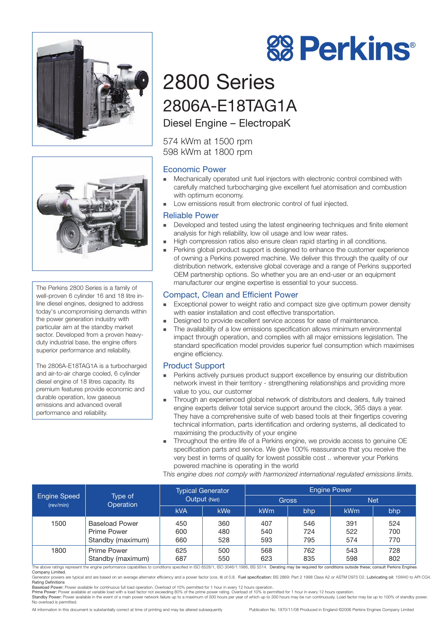



The Perkins 2800 Series is a family of well-proven 6 cylinder 16 and 18 litre inline diesel engines, designed to address today's uncompromising demands within the power generation industry with particular aim at the standby market sector. Developed from a proven heavyduty industrial base, the engine offers superior performance and reliability.

The 2806A-E18TAG1A is a turbocharged and air-to-air charge cooled, 6 cylinder diesel engine of 18 litres capacity. Its premium features provide economic and durable operation, low gaseous emissions and advanced overall performance and reliability.

# 2800 Series 2806A-E18TAG1A

Diesel Engine – ElectropaK

574 kWm at 1500 rpm 598 kWm at 1800 rpm

### Economic Power

- Mechanically operated unit fuel injectors with electronic control combined with carefully matched turbocharging give excellent fuel atomisation and combustion with optimum economy.
- Low emissions result from electronic control of fuel injected.

### Reliable Power

- Developed and tested using the latest engineering techniques and finite element analysis for high reliability, low oil usage and low wear rates.
- High compression ratios also ensure clean rapid starting in all conditions.
- **Perkins global product support is designed to enhance the customer experience** of owning a Perkins powered machine. We deliver this through the quality of our distribution network, extensive global coverage and a range of Perkins supported OEM partnership options. So whether you are an end-user or an equipment manufacturer our engine expertise is essential to your success.

## Compact, Clean and Efficient Power

- Exceptional power to weight ratio and compact size give optimum power density with easier installation and cost effective transportation.
- Designed to provide excellent service access for ease of maintenance.
- The availability of a low emissions specification allows minimum environmental impact through operation, and complies with all major emissions legislation. The standard specification model provides superior fuel consumption which maximises engine efficiency.

#### Product Support

- Perkins actively pursues product support excellence by ensuring our distribution network invest in their territory - strengthening relationships and providing more value to you, our customer
- Through an experienced global network of distributors and dealers, fully trained engine experts deliver total service support around the clock, 365 days a year. They have a comprehensive suite of web based tools at their fingertips covering technical information, parts identification and ordering systems, all dedicated to maximising the productivity of your engine
- Throughout the entire life of a Perkins engine, we provide access to genuine OE specification parts and service. We give 100% reassurance that you receive the very best in terms of quality for lowest possible cost .. wherever your Perkins powered machine is operating in the world

T*his engine does not comply with harmonized international regulated emissions limits.*

| <b>Engine Speed</b><br>(rev/min)                                                                                                                                                                                | Type of<br>Operation  | <b>Typical Generator</b><br>Output (Net) |     | <b>Engine Power</b> |     |            |     |  |
|-----------------------------------------------------------------------------------------------------------------------------------------------------------------------------------------------------------------|-----------------------|------------------------------------------|-----|---------------------|-----|------------|-----|--|
|                                                                                                                                                                                                                 |                       |                                          |     | <b>Gross</b>        |     | Net.       |     |  |
|                                                                                                                                                                                                                 |                       | <b>kVA</b>                               | kWe | <b>kWm</b>          | bhp | <b>kWm</b> | bhp |  |
| 1500                                                                                                                                                                                                            | <b>Baseload Power</b> | 450                                      | 360 | 407                 | 546 | 391        | 524 |  |
|                                                                                                                                                                                                                 | <b>Prime Power</b>    | 600                                      | 480 | 540                 | 724 | 522        | 700 |  |
|                                                                                                                                                                                                                 | Standby (maximum)     | 660                                      | 528 | 593                 | 795 | 574        | 770 |  |
| 1800                                                                                                                                                                                                            | <b>Prime Power</b>    | 625                                      | 500 | 568                 | 762 | 543        | 728 |  |
|                                                                                                                                                                                                                 | Standby (maximum)     | 687                                      | 550 | 623                 | 835 | 598        | 802 |  |
| The above ratings represent the engine performance capabilities to conditions specified in ISO 8528/1, ISO 3046/1:1986, BS 5514. Derating may be required for conditions outside these; consult Perkins Engines |                       |                                          |     |                     |     |            |     |  |

Company Limited. Generator powers are typical and are based on an average alternator efficiency and a power factor (cos. 0) of 0.8. Fuel specification: BS 2869: Part 2 1998 Class A2 or ASTM D975 D2. Lubricating oil: 15W40 to API CG4.<br>Rasel

All information in this document is substantially correct at time of printing and may be altered subsequently Publication No. 1870/11/08 Produced in England ©2006 Perkins Engines Company Limited



Prime Power: Power available at variable load with a load factor not exceeding 80% of the prime power rating. Overload of 10% is permitted for 1 hour in every 12 hours operation.<br>Standby Power: Power available in the event No overload is permitted.